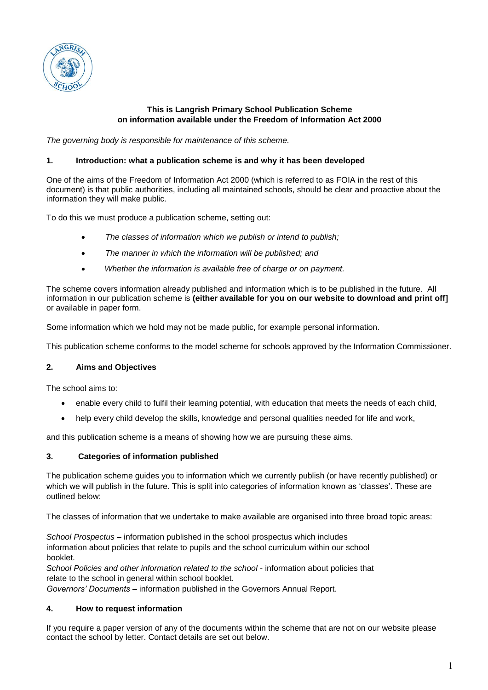

# **This is Langrish Primary School Publication Scheme on information available under the Freedom of Information Act 2000**

*The governing body is responsible for maintenance of this scheme.*

## **1. Introduction: what a publication scheme is and why it has been developed**

One of the aims of the Freedom of Information Act 2000 (which is referred to as FOIA in the rest of this document) is that public authorities, including all maintained schools, should be clear and proactive about the information they will make public.

To do this we must produce a publication scheme, setting out:

- *The classes of information which we publish or intend to publish;*
- *The manner in which the information will be published; and*
- *Whether the information is available free of charge or on payment.*

The scheme covers information already published and information which is to be published in the future. All information in our publication scheme is **(either available for you on our website to download and print off]** or available in paper form.

Some information which we hold may not be made public, for example personal information.

This publication scheme conforms to the model scheme for schools approved by the Information Commissioner.

# **2. Aims and Objectives**

The school aims to:

- enable every child to fulfil their learning potential, with education that meets the needs of each child,
- help every child develop the skills, knowledge and personal qualities needed for life and work,

and this publication scheme is a means of showing how we are pursuing these aims.

## **3. Categories of information published**

The publication scheme guides you to information which we currently publish (or have recently published) or which we will publish in the future. This is split into categories of information known as 'classes'. These are outlined below:

The classes of information that we undertake to make available are organised into three broad topic areas:

*School Prospectus* – information published in the school prospectus which includes information about policies that relate to pupils and the school curriculum within our school booklet.

*School Policies and other information related to the school* - information about policies that relate to the school in general within school booklet.

*Governors' Documents* – information published in the Governors Annual Report.

## **4. How to request information**

If you require a paper version of any of the documents within the scheme that are not on our website please contact the school by letter. Contact details are set out below.